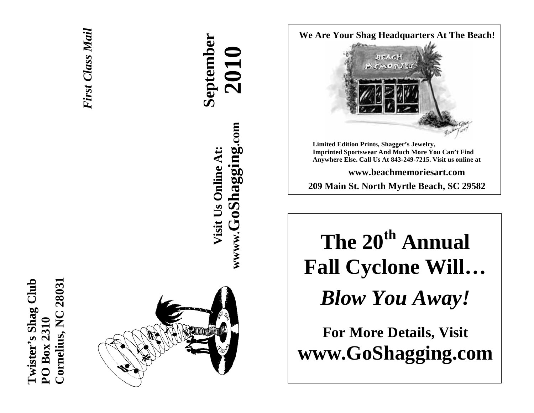**Cornelius, NC 28031 Twister's Shag Club Twister's Shag Club** Cornelius, NC 28031 **PO Box 2310**  PO Box 2310



*First Class Mail*  **First Class Mail** 

**September 2010 wwww.GoShagging.com** www.GoShagging.com **Visit Us Online At:** Visit Us Online At:

**We Are Your Shag Headquarters At The Beach!** 



**Limited Edition Prints, Shagger's Jewelry, Imprinted Sportswear And Much More You Can't Find Anywhere Else. Call Us At 843-249-7215. Visit us online at** 

**www.beachmemoriesart.com 209 Main St. North Myrtle Beach, SC 29582**

**The 20th Annual Fall Cyclone Will…**  *Blow You Away!* 

**For More Details, Visit www.GoShagging.com**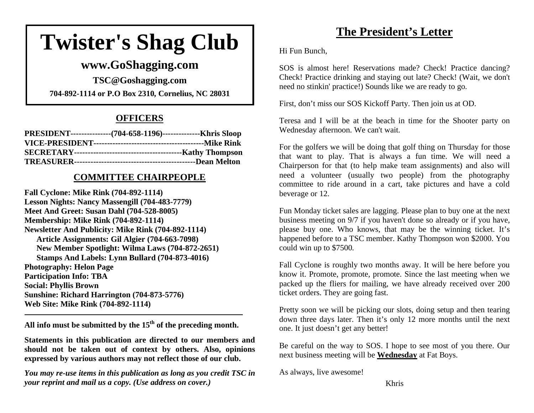# **Twister's Shag Club**

# **www.GoShagging.com**

**TSC@Goshagging.com 704-892-1114 or P.O Box 2310, Cornelius, NC 28031** 

# **OFFICERS**

| PRESIDENT----------------(704-658-1196)---------------Khris Sloop |
|-------------------------------------------------------------------|
|                                                                   |
|                                                                   |
|                                                                   |

## **COMMITTEE CHAIRPEOPLE**

**Fall Cyclone: Mike Rink (704-892-1114) Lesson Nights: Nancy Massengill (704-483-7779) Meet And Greet: Susan Dahl (704-528-8005) Membership: Mike Rink (704-892-1114) Newsletter And Publicity: Mike Rink (704-892-1114) Article Assignments: Gil Algier (704-663-7098) New Member Spotlight: Wilma Laws (704-872-2651) Stamps And Labels: Lynn Bullard (704-873-4016) Photography: Helon Page Participation Info: TBA Social: Phyllis Brown Sunshine: Richard Harrington (704-873-5776) Web Site: Mike Rink (704-892-1114)** 

**All info must be submitted by the 15th of the preceding month.** 

**Statements in this publication are directed to our members and should not be taken out of context by others. Also, opinions expressed by various authors may not reflect those of our club.** 

*You may re-use items in this publication as long as you credit TSC in your reprint and mail us a copy. (Use address on cover.)* 

# **The President's Letter**

Hi Fun Bunch,

SOS is almost here! Reservations made? Check! Practice dancing? Check! Practice drinking and staying out late? Check! (Wait, we don't need no stinkin' practice!) Sounds like we are ready to go.

First, don't miss our SOS Kickoff Party. Then join us at OD.

Teresa and I will be at the beach in time for the Shooter party on Wednesday afternoon. We can't wait.

For the golfers we will be doing that golf thing on Thursday for those that want to play. That is always a fun time. We will need a Chairperson for that (to help make team assignments) and also will need a volunteer (usually two people) from the photography committee to ride around in a cart, take pictures and have a cold beverage or 12.

Fun Monday ticket sales are lagging. Please plan to buy one at the next business meeting on 9/7 if you haven't done so already or if you have, please buy one. Who knows, that may be the winning ticket. It's happened before to a TSC member. Kathy Thompson won \$2000. You could win up to \$7500.

Fall Cyclone is roughly two months away. It will be here before you know it. Promote, promote, promote. Since the last meeting when we packed up the fliers for mailing, we have already received over 200 ticket orders. They are going fast.

Pretty soon we will be picking our slots, doing setup and then tearing down three days later. Then it's only 12 more months until the next one. It just doesn't get any better!

Be careful on the way to SOS. I hope to see most of you there. Our next business meeting will be **Wednesday** at Fat Boys.

As always, live awesome!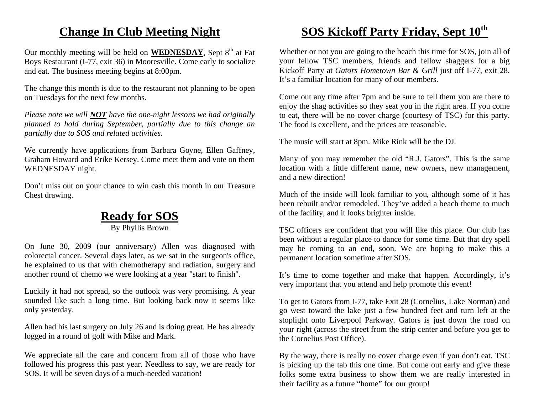# **Change In Club Meeting Night**

Our monthly meeting will be held on **WEDNESDAY**, Sept 8<sup>th</sup> at Fat Boys Restaurant (I-77, exit 36) in Mooresville. Come early to socialize and eat. The business meeting begins at 8:00pm.

The change this month is due to the restaurant not planning to be open on Tuesdays for the next few months.

*Please note we will NOT have the one-night lessons we had originally planned to hold during September, partially due to this change an partially due to SOS and related activities.* 

We currently have applications from Barbara Goyne, Ellen Gaffney, Graham Howard and Erike Kersey. Come meet them and vote on them WEDNESDAY night.

Don't miss out on your chance to win cash this month in our Treasure Chest drawing.

# **Ready for SOS**

By Phyllis Brown

On June 30, 2009 (our anniversary) Allen was diagnosed with colorectal cancer. Several days later, as we sat in the surgeon's office, he explained to us that with chemotherapy and radiation, surgery and another round of chemo we were looking at a year "start to finish".

Luckily it had not spread, so the outlook was very promising. A year sounded like such a long time. But looking back now it seems like only yesterday.

Allen had his last surgery on July 26 and is doing great. He has already logged in a round of golf with Mike and Mark.

We appreciate all the care and concern from all of those who have followed his progress this past year. Needless to say, we are ready for SOS. It will be seven days of a much-needed vacation!

# **SOS Kickoff Party Friday, Sept 10th**

Whether or not you are going to the beach this time for SOS, join all of your fellow TSC members, friends and fellow shaggers for a big Kickoff Party at *Gators Hometown Bar & Grill* just off I-77, exit 28. It's a familiar location for many of our members.

Come out any time after 7pm and be sure to tell them you are there to enjoy the shag activities so they seat you in the right area. If you come to eat, there will be no cover charge (courtesy of TSC) for this party. The food is excellent, and the prices are reasonable.

The music will start at 8pm. Mike Rink will be the DJ.

Many of you may remember the old "R.J. Gators". This is the same location with a little different name, new owners, new management, and a new direction!

Much of the inside will look familiar to you, although some of it has been rebuilt and/or remodeled. They've added a beach theme to much of the facility, and it looks brighter inside.

TSC officers are confident that you will like this place. Our club has been without a regular place to dance for some time. But that dry spell may be coming to an end, soon. We are hoping to make this a permanent location sometime after SOS.

It's time to come together and make that happen. Accordingly, it's very important that you attend and help promote this event!

To get to Gators from I-77, take Exit 28 (Cornelius, Lake Norman) and go west toward the lake just a few hundred feet and turn left at the stoplight onto Liverpool Parkway. Gators is just down the road on your right (across the street from the strip center and before you get to the Cornelius Post Office).

By the way, there is really no cover charge even if you don't eat. TSC is picking up the tab this one time. But come out early and give these folks some extra business to show them we are really interested in their facility as a future "home" for our group!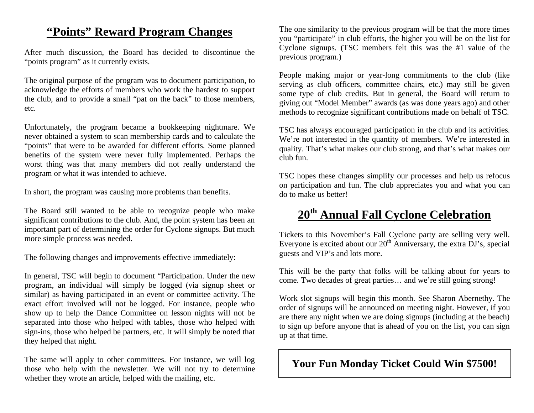# **"Points" Reward Program Changes**

After much discussion, the Board has decided to discontinue the "points program" as it currently exists.

The original purpose of the program was to document participation, to acknowledge the efforts of members who work the hardest to support the club, and to provide a small "pat on the back" to those members, etc.

Unfortunately, the program became a bookkeeping nightmare. We never obtained a system to scan membership cards and to calculate the "points" that were to be awarded for different efforts. Some planned benefits of the system were never fully implemented. Perhaps the worst thing was that many members did not really understand the program or what it was intended to achieve.

In short, the program was causing more problems than benefits.

The Board still wanted to be able to recognize people who make significant contributions to the club. And, the point system has been an important part of determining the order for Cyclone signups. But much more simple process was needed.

The following changes and improvements effective immediately:

In general, TSC will begin to document "Participation. Under the new program, an individual will simply be logged (via signup sheet or similar) as having participated in an event or committee activity. The exact effort involved will not be logged. For instance, people who show up to help the Dance Committee on lesson nights will not be separated into those who helped with tables, those who helped with sign-ins, those who helped be partners, etc. It will simply be noted that they helped that night.

The same will apply to other committees. For instance, we will log those who help with the newsletter. We will not try to determine whether they wrote an article, helped with the mailing, etc.

The one similarity to the previous program will be that the more times you "participate" in club efforts, the higher you will be on the list for Cyclone signups. (TSC members felt this was the #1 value of the previous program.)

People making major or year-long commitments to the club (like serving as club officers, committee chairs, etc.) may still be given some type of club credits. But in general, the Board will return to giving out "Model Member" awards (as was done years ago) and other methods to recognize significant contributions made on behalf of TSC.

TSC has always encouraged participation in the club and its activities. We're not interested in the quantity of members. We're interested in quality. That's what makes our club strong, and that's what makes our club fun.

TSC hopes these changes simplify our processes and help us refocus on participation and fun. The club appreciates you and what you can do to make us better!

# **<sup>20</sup>th Annual Fall Cyclone Celebration**

Tickets to this November's Fall Cyclone party are selling very well. Everyone is excited about our  $20<sup>th</sup>$  Anniversary, the extra  $\overline{D}J$ 's, special guests and VIP's and lots more.

This will be the party that folks will be talking about for years to come. Two decades of great parties… and we're still going strong!

Work slot signups will begin this month. See Sharon Abernethy. The order of signups will be announced on meeting night. However, if you are there any night when we are doing signups (including at the beach) to sign up before anyone that is ahead of you on the list, you can sign up at that time.

# **Your Fun Monday Ticket Could Win \$7500!**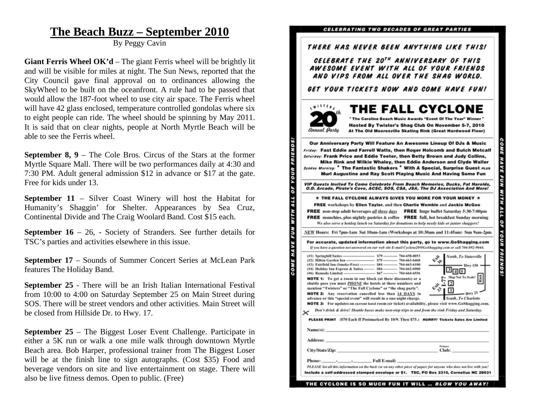# **The Beach Buzz – September 2010**

By Peggy Cavin

**Giant Ferris Wheel OK'd** – The giant Ferris wheel will be brightly lit and will be visible for miles at night. The Sun News, reported that the City Council gave final approval on to ordinances allowing the SkyWheel to be built on the oceanfront. A rule had to be passed that would allow the 187-foot wheel to use city air space. The Ferris wheel will have 42 glass enclosed, temperature controlled gondolas where six to eight people can ride. The wheel should be spinning by May 2011. It is said that on clear nights, people at North Myrtle Beach will be able to see the Ferris wheel.

**September 8, 9** – The Cole Bros. Circus of the Stars at the former Myrtle Square Mall. There will be two performances daily at 4:30 and 7:30 PM. Adult general admission \$12 in advance or \$17 at the gate. Free for kids under 13.

**September 11** – Silver Coast Winery will host the Habitat for Humanity's Shaggin' for Shelter. Appearances by Sea Cruz, Continental Divide and The Craig Woolard Band. Cost \$15 each.

**September 16** – 26, - Society of Stranders. See further details for TSC's parties and activities elsewhere in this issue.

**September 17** – Sounds of Summer Concert Series at McLean Park features The Holiday Band.

**September 25** - There will be an Irish Italian International Festival from 10:00 to 4:00 on Saturday September 25 on Main Street during SOS. There will be street vendors and other activities. Main Street will be closed from Hillside Dr. to Hwy. 17.

**September 25** – The Biggest Loser Event Challenge. Participate in either a 5K run or walk a one mile walk through downtown Myrtle Beach area. Bob Harper, professional trainer from The Biggest Loser will be at the finish line to sign autographs. (Cost \$35) Food and beverage vendors on site and live entertainment on stage. There will also be live fitness demos. Open to public. (Free)

### CELEBRATING TWO DECADES OF GREAT PARTIES

### THERE HAS NEVER BEEN ANYTHING LIKE THIS!

CELEBRATE THE 20<sup>TH</sup> ANNIVERSARY OF THIS AWESOME EVENT WITH ALL OF YOUR FRIENDS AND VIPS FROM ALL OVER THE SHAG WORLD.

GET YOUR TICKETS NOW AND COME HAVE FUN!



Our Anniversary Party Will Feature An Awesome Lineup Of DJs & Music Friday: Fast Eddie and Farrell Watts, then Roger Holcomb and Butch Metcalf Saturday: Frank Price and Eddie Teeter, then Betty Brown and Judy Collins, Mike Rink and Wilkie Whaley, then Eddie Anderson and Clyde Waller Sunday Morning: \* The Fantastic Shakers \* With A Special, Surprise Guest rups Murl Augustine and Ray Scott Playing Music And Having Some Fun VIP Guests Invited To Come Celebrate From Beach Memories, Ducks, Fat Harolds, O.D. Arcade, Pirate's Cove, ACSC, SOS, CSA, JSA, The DJ Association And More!  $\star$  THE FALL CYCLONE ALWAYS GIVES YOU MORE FOR YOUR MONEY  $\star$ FREE workshops by Ellen Taylor, and then Charlie Womble and Jackie McGee FREE non-stop adult beverages all three days FREE huge buffet Saturday 5:30-7:00pm **FREE** munchies, plus nightly pastries & coffee **FREE** full, hot breakfast Sunday morning We also serve a hotdog lunch on Saturday for donations to help needy kids or junior shaggers!

YOUR

**OF** 

FUN

**ME HAVE** 

NEW Hours: Fri 7pm-1am Sat 10am-1am (Workshops at 10:30am and 11:45am) Sun 9am-2pm

|                                                                                                                                 | North, To Statesville |
|---------------------------------------------------------------------------------------------------------------------------------|-----------------------|
|                                                                                                                                 | $\psi_{ab}^{\rm th}$  |
| (#3) Fairfield Inn (Smoke-Free) ------------- \$84 ------------ 704-663-6100                                                    | $-$ Hwy 150           |
| (#4) Holiday Inn Express & Suites -------- \$84 ----------- 704-662-6900                                                        |                       |
|                                                                                                                                 |                       |
| <b>NOTE 1:</b> To get a room in our block (at these discounts) or a                                                             | Map Not To Scale!     |
| shuttle pass you must <i>PHONE</i> the hotels at these numbers and                                                              |                       |
| mention "Twisters" or "The Fall Cyclone" or "the shag party".                                                                   |                       |
| <b>NOTE 2:</b> Any reservation cancelled less than 14 DAYS in                                                                   | Hwv21                 |
| advance or this "special event" will result in a one-night charge.                                                              | South, To Charlotte   |
| NOTE 3: For updates on current hotel room (or ticket) availability, please visit www.GoShagging.com.                            |                       |
| Don't drink & drive! Shuttle buses make non-stop trips to and from the rink Friday and Saturday.<br>.                           |                       |
| PLEASE PRINT (\$70 Each If Postmarked By 10/9. Then \$75.) HURRY! Tickets Sales Are Limited                                     |                       |
|                                                                                                                                 |                       |
| Name(s): $\qquad \qquad$<br>Address: Andreas Address: Address: Address: Address: Address: Address: Address: Address: Address: A |                       |
|                                                                                                                                 | <b>Primary</b>        |
|                                                                                                                                 | Club:                 |

THE CYCLONE IS SO MUCH FUN IT WILL ... BLOW YOU AWAY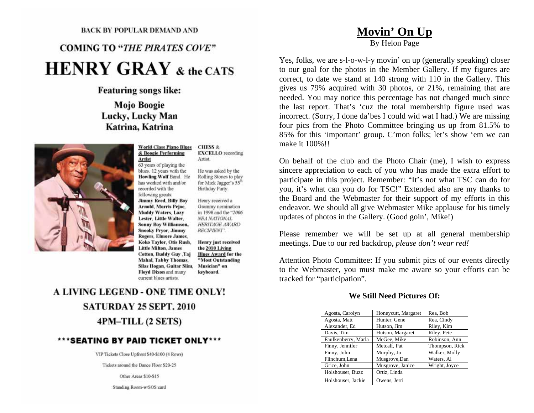### BACK BY POPULAR DEMAND AND

# **COMING TO "THE PIRATES COVE" HENRY GRAY & the CATS**

### **Featuring songs like:**

**Mojo Boogie** Lucky, Lucky Man Katrina, Katrina



### **World Class Piano Blues** & Boogie Performing **Artist**

63 years of playing the blues. 12 years with the Howling Wolf Band. He has worked with and/or recorded with the following greats: **Jimmy Reed, Billy Boy** Arnold, Morris Pejoe, **Muddy Waters, Lazy** Lester, Little Walter, **Sonny Boy Williamson, Snooky Pryor, Jimmy** Rogers, Elmore James, Koko Taylor, Otis Rush, **Little Milton, James** Cotton, Buddy Guy , Taj **Mahal, Tabby Thomas,** Silas Hogan, Guitar Slim, Floyd Dixon and many current blues artists.

He was asked by the Rolling Stones to play for Mick Jagger's 55<sup>th</sup> Birthday Party.

**EXCELLO** recording

**CHESS &** 

Artist.

Henry received a Grammy nomination in 1998 and the "2006 NEA NATIONAL HERITAGE AWARD RECIPIENT'.

Henry just received the 2010 Living **Blues Award for the** "Most Outstanding Musician" on keyboard.

# A LIVING LEGEND - ONE TIME ONLY! **SATURDAY 25 SEPT. 2010** 4PM-TILL (2 SETS)

### \*\*\*SEATING BY PAID TICKET ONLY\*\*\*

VIP Tickets Close Upfront \$40-\$100 (4 Rows)

Tickets around the Dance Floor \$20-25

Other Areas \$10-\$15

Standing Room-w/SOS card

# **Movin' On Up**

By Helon Page

Yes, folks, we are s-l-o-w-l-y movin' on up (generally speaking) closer to our goal for the photos in the Member Gallery. If my figures are correct, to date we stand at 140 strong with 110 in the Gallery. This gives us 79% acquired with 30 photos, or 21%, remaining that are needed. You may notice this percentage has not changed much since the last report. That's 'cuz the total membership figure used was incorrect. (Sorry, I done da'bes I could wid wat I had.) We are missing four pics from the Photo Committee bringing us up from 81.5% to 85% for this 'important' group. C'mon folks; let's show 'em we can make it 100%!!

On behalf of the club and the Photo Chair (me), I wish to express sincere appreciation to each of you who has made the extra effort to participate in this project. Remember: "It's not what TSC can do for you, it's what can you do for TSC!" Extended also are my thanks to the Board and the Webmaster for their support of my efforts in this endeavor. We should all give Webmaster Mike applause for his timely updates of photos in the Gallery. (Good goin', Mike!)

Please remember we will be set up at all general membership meetings. Due to our red backdrop, *please don't wear red!*

Attention Photo Committee: If you submit pics of our events directly to the Webmaster, you must make me aware so your efforts can be tracked for "participation".

### **We Still Need Pictures Of:**

| Agosta, Carolyn     | Honeycutt, Margaret | Rea, Bob       |
|---------------------|---------------------|----------------|
| Agosta, Matt        | Hunter, Gene        | Rea, Cindy     |
| Alexander, Ed       | Hutson, Jim         | Riley, Kim     |
| Davis, Tim          | Hutson, Margaret    | Riley, Pete    |
| Faulkenberry, Marla | McGee, Mike         | Robinson, Ann  |
| Finny, Jennifer     | Metcalf, Pat        | Thompson, Rick |
| Finny, John         | Murphy, Jo          | Walker, Molly  |
| Flinchum, Lena      | Musgrove,Dan        | Waters, Al     |
| Grice, John         | Musgrove, Janice    | Wright, Joyce  |
| Holshouser, Buzz    | Ortiz, Linda        |                |
| Holshouser, Jackie  | Owens. Jerri        |                |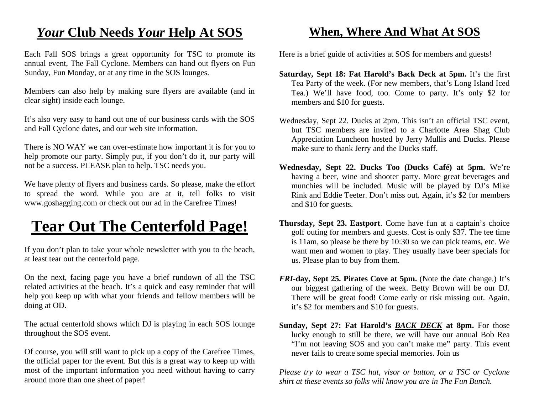# *Your* **Club Needs** *Your* **Help At SOS**

Each Fall SOS brings a great opportunity for TSC to promote its annual event, The Fall Cyclone. Members can hand out flyers on Fun Sunday, Fun Monday, or at any time in the SOS lounges.

Members can also help by making sure flyers are available (and in clear sight) inside each lounge.

It's also very easy to hand out one of our business cards with the SOS and Fall Cyclone dates, and our web site information.

There is NO WAY we can over-estimate how important it is for you to help promote our party. Simply put, if you don't do it, our party will not be a success. PLEASE plan to help. TSC needs you.

We have plenty of flyers and business cards. So please, make the effort to spread the word. While you are at it, tell folks to visit www.goshagging.com or check out our ad in the Carefree Times!

# **Tear Out The Centerfold Page!**

If you don't plan to take your whole newsletter with you to the beach, at least tear out the centerfold page.

On the next, facing page you have a brief rundown of all the TSC related activities at the beach. It's a quick and easy reminder that will help you keep up with what your friends and fellow members will be doing at OD.

The actual centerfold shows which DJ is playing in each SOS lounge throughout the SOS event.

Of course, you will still want to pick up a copy of the Carefree Times, the official paper for the event. But this is a great way to keep up with most of the important information you need without having to carry around more than one sheet of paper!

# **When, Where And What At SOS**

Here is a brief guide of activities at SOS for members and guests!

- **Saturday, Sept 18: Fat Harold's Back Deck at 5pm.** It's the first Tea Party of the week. (For new members, that's Long Island Iced Tea.) We'll have food, too. Come to party. It's only \$2 for members and \$10 for guests.
- Wednesday, Sept 22. Ducks at 2pm. This isn't an official TSC event, but TSC members are invited to a Charlotte Area Shag Club Appreciation Luncheon hosted by Jerry Mullis and Ducks. Please make sure to thank Jerry and the Ducks staff.
- **Wednesday, Sept 22. Ducks Too (Ducks Café) at 5pm.** We're having a beer, wine and shooter party. More great beverages and munchies will be included. Music will be played by DJ's Mike Rink and Eddie Teeter. Don't miss out. Again, it's \$2 for members and \$10 for guests.
- **Thursday, Sept 23. Eastport**. Come have fun at a captain's choice golf outing for members and guests. Cost is only \$37. The tee time is 11am, so please be there by 10:30 so we can pick teams, etc. We want men and women to play. They usually have beer specials for us. Please plan to buy from them.
- *FRI***-day, Sept 25. Pirates Cove at 5pm.** (Note the date change.) It's our biggest gathering of the week. Betty Brown will be our DJ. There will be great food! Come early or risk missing out. Again, it's \$2 for members and \$10 for guests.
- **Sunday, Sept 27: Fat Harold's** *BACK DECK* **at 8pm.** For those lucky enough to still be there, we will have our annual Bob Rea "I'm not leaving SOS and you can't make me" party. This event never fails to create some special memories. Join us

*Please try to wear a TSC hat, visor or button, or a TSC or Cyclone shirt at these events so folks will know you are in The Fun Bunch.*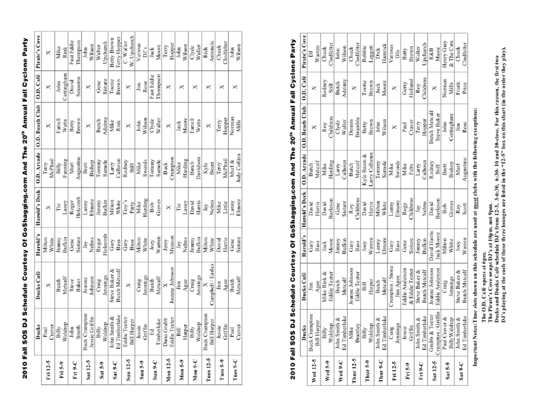| $\overline{\phantom{a}}$ |
|--------------------------|
| ۱                        |
|                          |
|                          |
|                          |
|                          |
|                          |
|                          |
|                          |
|                          |
|                          |
|                          |
|                          |
|                          |
|                          |
|                          |
|                          |
|                          |
|                          |
|                          |
|                          |
|                          |
|                          |
| ١                        |
|                          |
|                          |
|                          |
|                          |
| .<br>;                   |
|                          |
|                          |
|                          |
|                          |
|                          |
|                          |
|                          |
|                          |
|                          |
|                          |
|                          |
|                          |
|                          |
|                          |
|                          |
| Í                        |
| $\overline{\phantom{a}}$ |
| I                        |
|                          |
|                          |
|                          |
|                          |
| š                        |
|                          |

|                    | Ducks                                              | Ducks Café                     | Harold's         |                       |                        | Harold's Deck   O.D. Arcade   O.D. Beach Club   O.D. Café   Pirate's Cove |                        |                             |
|--------------------|----------------------------------------------------|--------------------------------|------------------|-----------------------|------------------------|---------------------------------------------------------------------------|------------------------|-----------------------------|
| Fri 12-5           | Craver<br>$_{\rm Paul}$                            | ×                              | Milton<br>White  | ×                     | McPhail<br>Terry       | ×                                                                         | ×                      | ×                           |
| Fri 5-9            | Billy<br>Waldrep                                   | Metcalf<br>Butch               | Bufkin<br>Jimmy  | Laney<br>Ϊž           | Fanning<br>Billy       | Watts<br>Farrell                                                          | Cottingham<br>John     | Mike<br>Rink                |
| Fri 9-C            | John<br>Smith                                      | Baker<br>Steve                 | Sistare<br>Gene  | Holcomb<br>Roger      | Augustine<br>Murl      | Brown<br>Betty                                                            | Sessoms<br>David       | Fast Eddie<br>Thompson      |
| Sat $12-5$         | <b>Buck Crumpton</b><br>Jessie Griffin             | Johnson<br>Joanne              | Nelms<br>Jay     | Elmore<br>Lanny       | Bishop<br>Brett        | ×                                                                         | ×                      | Wilson<br>John              |
| Sat 5-9            | Waldrep<br>Billy                                   | Jennings<br>Craig              | Holcomb<br>Roger | Jimmy<br>Bufkin       | Tommy<br>Samole        | Adeimy<br>Butch                                                           | Sistare<br>Gene        | Upchurch<br>Walter          |
| Sat 9-C            | Ed Timberlake<br>John Smith &                      | Butch Metcalf<br>Steve Baker & | Bass<br>Gary     | Milton<br>White       | Calhoun<br>Larry       | Mike<br>Rink                                                              | Brown<br>Tootie        | Ferry Hopper<br>Betty Brown |
| Sun 12-5           | Teeter<br><b>Bill Harper</b><br>Eddie <sup>®</sup> | ×                              | Gary<br>Bass     | l'iny's<br>Party      | Rodney<br>Still        | ×                                                                         | ×                      | W. Upchurch<br>C. Waller    |
| $Sun S-9$          | Griffin<br>Jessie                                  | Jennings<br>Craig              | Milton<br>White  | Harding<br>Mike       | Swords<br>Mike         | Wilson<br>John                                                            | Rose<br>Ĵim            | Various<br>DJ's             |
| Sun 9-C            | Timberlake<br>Ed                                   | Metcalf<br>Butch               | Warren<br>Joey   | Graves<br>Bob         | Tommy<br>Samole        | Waller<br>Clyde                                                           | Fast Eddie<br>Thompson | Moore<br>Jack               |
| Mon 12-5           | Eddie Teeter<br>Dana Grubb                         | Joanne Johnson<br>×            | Munson<br>Jerry  | ×                     | Crumpton<br>Buck       | ×                                                                         | ×                      | Hopper<br>Terry             |
| Mon <sub>5-9</sub> | Harper<br>Bill                                     | Agee<br>Ę                      | Nelms<br>Jay     | Laney<br>Γiz          | Harding<br>Mike        | Moore<br>Jack                                                             | ×                      | Wilson<br>John              |
| Mon 9-C            | Billy<br>Waldrep                                   | Jennings<br>Craig              | Bufkin<br>Jimmy  | Harris<br>David       | Davidson<br>Butch      | Farrell<br>Watts                                                          | ×                      | Waller<br>Clyde             |
| <b>Tues 12-5</b>   | <b>Buck Crumpton</b><br><b>Bill Harper</b>         | Campbell / Earles<br>×         | Milton<br>White  | ${\mbox{Neims}}$<br>À | Kyle<br>Beam           | ×                                                                         | ×                      | Antoncic<br>Rich            |
| Tues 5-9           | Jessie<br>Griffin                                  | Agce<br>Ę                      | David<br>Harris  | Little<br>Mike        | McPhail<br>Terry       | Tery<br>Hopper                                                            | ×                      | Clodfelte<br>Chuck          |
| Tues 9-C           | Paul<br>Craver                                     | Metcalf<br>Butch               | Sistare<br>Gene  | Elmore<br>Lanny       | Judy Collins<br>Murl & | Norman<br>Mills                                                           | ×                      | Wilson<br>John              |

# 2010 Fall SOS DJ Schedule Courtesy Of GoShagging.com And The 20<sup>th</sup> Annual Fall Cyclone Party

|            | Ducks                                      | Ducks Café                            | Harold's                  | Harold's Deck            | O.D. Arcade                 | O.D. Beach Club             | O.D. Café                          | Pirate's Cove             |
|------------|--------------------------------------------|---------------------------------------|---------------------------|--------------------------|-----------------------------|-----------------------------|------------------------------------|---------------------------|
| Wed 12-5   | <b>Buck Crumpton</b><br><b>Bill Harper</b> | Agee<br>Jim                           | Bass<br>Gary              | Harris<br>David          | Metcalf<br>Butch            | ×                           | ×                                  | Warren<br>ā               |
| Wed 5-9    | Waldrep<br>Billy                           | Mike Rink &<br>Eddie Tecter           | Moore<br>Jack             | <b>Burleson</b><br>David | Harding<br>Mike             | <b>hildress</b><br>Roy      | Rodney<br>$\overline{\text{Stil}}$ | <b>Jodfelter</b><br>Churk |
| Wed 9-C    | Ed Timberlake<br>John Smith &              | Metcalf<br>Butch                      | Bufkin<br>Jimmy           | Sistare<br>Gene          | Calhoun<br>Larry            | Clyde<br>Waller             | Adeiny<br>Butch                    | Wilson<br>John            |
| Thur 12-5  | Brantley<br>Mike                           | Joanne Johnson<br>Eddie Tecter        | Bass<br>Gary              | <b>Childress</b><br>Roy  | Metcalf<br>Butch            | Brumble<br>Dennis           | ×                                  | Clodfelter<br>Chuck       |
| Thur 5-9   | Waldrep<br>Billy                           | Harper<br>Bill                        | Warren<br>Joey            | David<br>Harris          | arry Calhoun<br>Kyle Beam & | Brown<br>Betty              | Tootie<br>Brown                    | Robbie<br>Leggett         |
| Thur 9-C   | Ed Timberlake<br>John Smith &              | Metcalf<br>Butch                      | Elmore<br>Lanny           | Milton<br>White          | Tommy<br>Samole             | Wilson<br>John              | Moore<br>Jack                      | Hamrick<br>Dick           |
| Fri 12-5   | Jennings<br>Craig                          | Crumpton / Stone<br>Jim Agee          | Gary<br>Bass              | Elmore<br>Lanny          | Swords<br>Mike              | ×                           | ×                                  | Various<br>DJs            |
| Fri S-9    | Griffin<br>Jessie                          | Eddie Anderson<br>& Eddie Teeter      | Sistare<br>Gene           | <b>Childress</b><br>Rogy | Mike<br>Felts               | Craver<br>Paul              | Iolland<br>Gerry                   | Brown<br>Betty            |
| Eri 9-C    | Ed Timberlake<br>John Smith &              | <b>Butch Metcalf</b><br>Steve Baker & | Bufkin<br>Jimmy           | Jay<br>Nelms             | Calhoun<br>Larry            | Hopper<br>Terry             | Childress<br>Roy                   | Jpchurch<br>Walter        |
| Sat $12-5$ | Crumpton / Griffin<br>Grubb & Teeter       | Joanne Johnson<br>Eddie Anderson      | David Harris<br>ack Moore | <b>Surlesor</b><br>David | Rodney<br>Still             | Butch Meteal<br>Steve Baker | ×                                  | Music<br>R&B              |
| Sat 5-9    | Paul Craver &<br><b>BillyWaldrep</b>       | Jennings<br>Craig                     | Milton<br>White           | Graves<br>Bob            | Bishop<br>Brett             | Cottingham<br>John          | Noman<br>Mills                     | & The Cats<br>Henry Gray  |
| Sat 9-C    | <b>Ed Timberlake</b><br>John Smith &       | <b>Butch Metcalf</b><br>Steve Baker & | Warren<br>Joey            | Scott<br>Ray             | Augustine<br>Murl           | Rose<br>Jim                 | Frank<br>Price                     | Clodfelter<br>Chuck       |
|            | $\ddotsc$ and $\ddotsc$                    |                                       |                           |                          |                             |                             |                                    |                           |

Important Notes: Time slots shown on this schedule are used at most clubs with the following exceptions:

The O.D. Café opens at 6pm.<br>The Pirate's Cove swaps DJ's at 10pm, not 9pm.<br>Ducks and Ducks Café schedule DJ's from 12-3, 3-6:30, 6:30- 10 and 10-close. For this reason, the first two<br>DJ's playing at the each of these three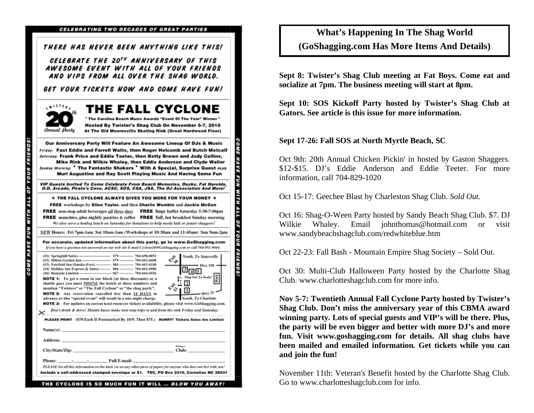|                                                                                   | THERE HAS NEVER BEEN ANYTHING LIKE THIS!                                                                                                                                                                                                                                                                                                                                                                                                                |
|-----------------------------------------------------------------------------------|---------------------------------------------------------------------------------------------------------------------------------------------------------------------------------------------------------------------------------------------------------------------------------------------------------------------------------------------------------------------------------------------------------------------------------------------------------|
|                                                                                   | CELEBRATE THE 20 <sup>TH</sup> ANNIVERSARY OF THIS                                                                                                                                                                                                                                                                                                                                                                                                      |
|                                                                                   | AWESOME EVENT WITH ALL OF YOUR FRIENDS                                                                                                                                                                                                                                                                                                                                                                                                                  |
|                                                                                   | AND VIPS FROM ALL OVER THE SHAG WORLD.                                                                                                                                                                                                                                                                                                                                                                                                                  |
|                                                                                   | GET YOUR TICKETS NOW AND COME HAVE FUN!                                                                                                                                                                                                                                                                                                                                                                                                                 |
| 15188<br>th<br>Annual Party                                                       | THE FALL CYCLONE<br>* The Carolina Beach Music Awards "Event Of The Year" Winner<br>Hosted By Twister's Shag Club On November 5-7, 2010<br>At The Old Mooresville Skating Rink (Great Hardwood Floor)                                                                                                                                                                                                                                                   |
|                                                                                   | Our Anniversary Party Will Feature An Awesome Lineup Of DJs & Music<br>Friday: Fast Eddie and Farrell Watts, then Roger Holcomb and Butch Metcalf<br>Saturday: Frank Price and Eddie Teeter, then Betty Brown and Judy Collins,<br>Mike Rink and Wilkie Whaley, then Eddie Anderson and Clyde Waller<br>Sunday Morning: * The Fantastic Shakers * With A Special, Surprise Guest ruus<br>Muri Augustine and Ray Scott Playing Music And Having Some Fun |
|                                                                                   | VIP Guests Invited To Come Celebrate From Beach Memories, Ducks, Fat Harolds,<br>O.D. Arcade, Pirate's Cove, ACSC, SOS, CSA, JSA, The DJ Association And More!                                                                                                                                                                                                                                                                                          |
|                                                                                   | $\star$ THE FALL CYCLONE ALWAYS GIVES YOU MORE FOR YOUR MONEY $\star$                                                                                                                                                                                                                                                                                                                                                                                   |
|                                                                                   | FREE workshops by Ellen Taylor, and then Charlie Womble and Jackie McGee                                                                                                                                                                                                                                                                                                                                                                                |
|                                                                                   |                                                                                                                                                                                                                                                                                                                                                                                                                                                         |
|                                                                                   | FREE non-stop adult beverages all three days FREE huge buffet Saturday 5:30-7:00pm                                                                                                                                                                                                                                                                                                                                                                      |
|                                                                                   | <b>FREE</b> munchies, plus nightly pastries & coffee <b>FREE</b> full, hot breakfast Sunday morning                                                                                                                                                                                                                                                                                                                                                     |
|                                                                                   | We also serve a hotdog lunch on Saturday for donations to help needy kids or junior shaggers!                                                                                                                                                                                                                                                                                                                                                           |
|                                                                                   | NEW Hours: Fri 7pm-1am Sat 10am-1am (Workshops at 10:30am and 11:45am) Sun 9am-2pm                                                                                                                                                                                                                                                                                                                                                                      |
|                                                                                   | For accurate, updated information about this party, go to www.GoShagging.com<br>If you have a question not answered on our web site E-mail Cyclone20@GoShagging.com or call 704-892-9044.                                                                                                                                                                                                                                                               |
| $(41)$ Springhill Suites --<br>(#2) Hilton Garden Inn-<br>(#6) Ramada Limited --- | North, To Statesville<br>يخبي<br>ەلە<br>(#3) Fairfield Inn (Smoke-Free) ------------- \$84 ------------ 704-663-6100<br>- Hwy 150<br>(#4) Holiday Inn Express & Suites -------- \$84 ----------- 704-662-6900<br>B [a] [s]<br>-- \$67 ----------- 704-664-6556<br>Map Not To Scale!<br><b>NOTE 1:</b> To get a room in our block (at these discounts) or a                                                                                              |
|                                                                                   | $\overline{2}$<br>shuttle pass you must <i>PHONE</i> the hotels at these numbers and<br>s.,<br>mention "Twisters" or "The Fall Cyclone" or "the shag party".                                                                                                                                                                                                                                                                                            |
|                                                                                   | $-$ Hwy 21<br>NOTE 2: Any reservation cancelled less than 14 DAYS in                                                                                                                                                                                                                                                                                                                                                                                    |
|                                                                                   | advance or this "special event" will result in a one-night charge.<br>South, To Charlotte<br>NOTE 3: For updates on current hotel room (or ticket) availability, please visit www.GoShagging.com.                                                                                                                                                                                                                                                       |
|                                                                                   | Don't drink & drive! Shuttle buses make non-stop trips to and from the rink Friday and Saturday.                                                                                                                                                                                                                                                                                                                                                        |
|                                                                                   | PLEASE PRINT (\$70 Each If Postmarked By 10/9. Then \$75.) HURRY! Tickets Sales Are Limited                                                                                                                                                                                                                                                                                                                                                             |
| $Name(s): \_\_$                                                                   |                                                                                                                                                                                                                                                                                                                                                                                                                                                         |
|                                                                                   |                                                                                                                                                                                                                                                                                                                                                                                                                                                         |
| <b>Address:</b><br>City/State/Zip:                                                | Primary<br>Club:                                                                                                                                                                                                                                                                                                                                                                                                                                        |
|                                                                                   |                                                                                                                                                                                                                                                                                                                                                                                                                                                         |
| $\boldsymbol{\times}$<br>Phone:                                                   | _ Full E-mail: _<br>PLEASE list all this information on the back (or on any other piece of paper) for anyone who does not live with you!                                                                                                                                                                                                                                                                                                                |

THE CYCLONE IS SO MUCH FUN IT WILL ... BLOW YOU AWAY

# **What's Happening In The Shag World (GoShagging.com Has More Items And Details)**

**Sept 8: Twister's Shag Club meeting at Fat Boys. Come eat and socialize at 7pm. The business meeting will start at 8pm.** 

**Sept 10: SOS Kickoff Party hosted by Twister's Shag Club at Gators. See article is this issue for more information.** 

### **Sept 17-26: Fall SOS at North Myrtle Beach, SC**

Oct 9th: 20th Annual Chicken Pickin' in hosted by Gaston Shaggers. \$12-\$15. DJ's Eddie Anderson and Eddie Teeter. For more information, call 704-829-1020

Oct 15-17: Geechee Blast by Charleston Shag Club. *Sold Out.*

Oct 16: Shag-O-Ween Party hosted by Sandy Beach Shag Club. \$7. DJ Wilkie Whaley. Email johnthomas@hotmail.com or visit www.sandybeachshagclub.com/redwhiteblue.htm

Oct 22-23: Fall Bash - Mountain Empire Shag Society – Sold Out.

Oct 30: Multi-Club Halloween Party hosted by the Charlotte Shag Club. www.charlotteshagclub.com for more info.

**Nov 5-7: Twentieth Annual Fall Cyclone Party hosted by Twister's Shag Club. Don't miss the anniversary year of this CBMA award winning party. Lots of special guests and VIP's will be there. Plus, the party will be even bigger and better with more DJ's and more fun. Visit www.goshagging.com for details. All shag clubs have been mailed and emailed information. Get tickets while you can and join the fun!** 

November 11th: Veteran's Benefit hosted by the Charlotte Shag Club. Go to www.charlotteshagclub.com for info.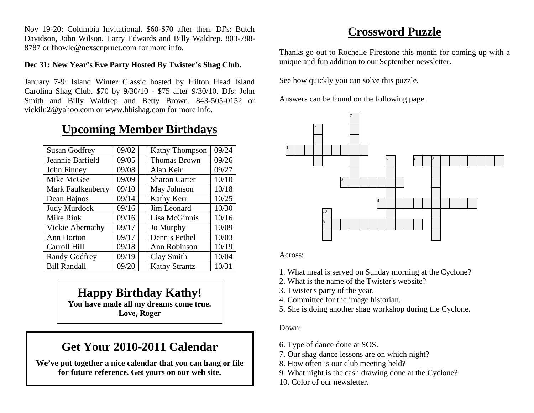Nov 19-20: Columbia Invitational. \$60-\$70 after then. DJ's: Butch Davidson, John Wilson, Larry Edwards and Billy Waldrep. 803-788- 8787 or fhowle@nexsenpruet.com for more info.

### **Dec 31: New Year's Eve Party Hosted By Twister's Shag Club.**

January 7-9: Island Winter Classic hosted by Hilton Head Island Carolina Shag Club. \$70 by 9/30/10 - \$75 after 9/30/10. DJs: John Smith and Billy Waldrep and Betty Brown. 843-505-0152 or vickilu2@yahoo.com or www.hhishag.com for more info.

# **Upcoming Member Birthdays**

| <b>Susan Godfrey</b>     | 09/02 | <b>Kathy Thompson</b> | 09/24 |
|--------------------------|-------|-----------------------|-------|
| Jeannie Barfield         | 09/05 | <b>Thomas Brown</b>   | 09/26 |
| John Finney              | 09/08 | Alan Keir             | 09/27 |
| Mike McGee               | 09/09 | <b>Sharon Carter</b>  | 10/10 |
| <b>Mark Faulkenberry</b> | 09/10 | May Johnson           | 10/18 |
| Dean Hajnos              | 09/14 | Kathy Kerr            | 10/25 |
| Judy Murdock             | 09/16 | Jim Leonard           | 10/30 |
| Mike Rink                | 09/16 | Lisa McGinnis         | 10/16 |
| Vickie Abernathy         | 09/17 | Jo Murphy             | 10/09 |
| Ann Horton               | 09/17 | Dennis Pethel         | 10/03 |
| Carroll Hill             | 09/18 | Ann Robinson          | 10/19 |
| <b>Randy Godfrey</b>     | 09/19 | Clay Smith            | 10/04 |
| <b>Bill Randall</b>      | 09/20 | <b>Kathy Strantz</b>  | 10/31 |

**Happy Birthday Kathy! You have made all my dreams come true.** 

**Love, Roger** 

# **Get Your 2010-2011 Calendar**

**We've put together a nice calendar that you can hang or file for future reference. Get yours on our web site.** 

# **Crossword Puzzle**

Thanks go out to Rochelle Firestone this month for coming up with a unique and fun addition to our September newsletter.

See how quickly you can solve this puzzle.

Answers can be found on the following page.



Across:

- 1. What meal is served on Sunday morning at the Cyclone?
- 2. What is the name of the Twister's website?
- 3. Twister's party of the year.
- 4. Committee for the image historian.
- 5. She is doing another shag workshop during the Cyclone.

Down:

- 6. Type of dance done at SOS.
- 7. Our shag dance lessons are on which night?
- 8. How often is our club meeting held?
- 9. What night is the cash drawing done at the Cyclone?
- 10. Color of our newsletter.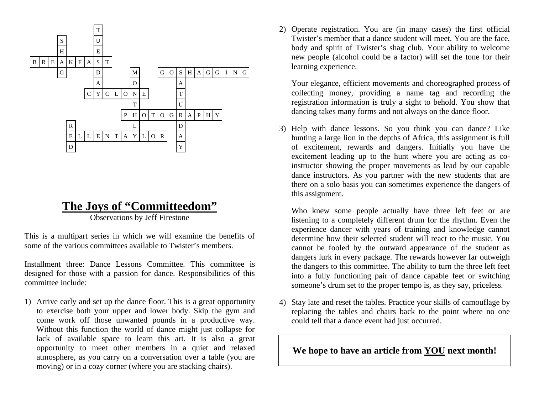![](_page_10_Figure_0.jpeg)

# **The Joys of "Committeedom"**

Observations by Jeff Firestone

This is a multipart series in which we will examine the benefits of some of the various committees available to Twister's members.

Installment three: Dance Lessons Committee. This committee is designed for those with a passion for dance. Responsibilities of this committee include:

1) Arrive early and set up the dance floor. This is a great opportunity to exercise both your upper and lower body. Skip the gym and come work off those unwanted pounds in a productive way. Without this function the world of dance might just collapse for lack of available space to learn this art. It is also a great opportunity to meet other members in a quiet and relaxed atmosphere, as you carry on a conversation over a table (you are moving) or in a cozy corner (where you are stacking chairs).

2) Operate registration. You are (in many cases) the first official Twister's member that a dance student will meet. You are the face, body and spirit of Twister's shag club. Your ability to welcome new people (alcohol could be a factor) will set the tone for their learning experience.

Your elegance, efficient movements and choreographed process of collecting money, providing a name tag and recording the registration information is truly a sight to behold. You show that dancing takes many forms and not always on the dance floor.

3) Help with dance lessons. So you think you can dance? Like hunting a large lion in the depths of Africa, this assignment is full of excitement, rewards and dangers. Initially you have the excitement leading up to the hunt where you are acting as coinstructor showing the proper movements as lead by our capable dance instructors. As you partner with the new students that are there on a solo basis you can sometimes experience the dangers of this assignment.

Who knew some people actually have three left feet or are listening to a completely different drum for the rhythm. Even the experience dancer with years of training and knowledge cannot determine how their selected student will react to the music. You cannot be fooled by the outward appearance of the student as dangers lurk in every package. The rewards however far outweigh the dangers to this committee. The ability to turn the three left feet into a fully functioning pair of dance capable feet or switching someone's drum set to the proper tempo is, as they say, priceless.

4) Stay late and reset the tables. Practice your skills of camouflage by replacing the tables and chairs back to the point where no one could tell that a dance event had just occurred.

**We hope to have an article from YOU next month!**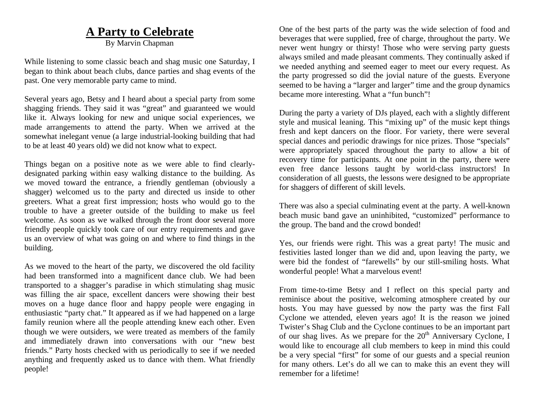# **A Party to Celebrate**

By Marvin Chapman

While listening to some classic beach and shag music one Saturday, I began to think about beach clubs, dance parties and shag events of the past. One very memorable party came to mind.

Several years ago, Betsy and I heard about a special party from some shagging friends. They said it was "great" and guaranteed we would like it. Always looking for new and unique social experiences, we made arrangements to attend the party. When we arrived at the somewhat inelegant venue (a large industrial-looking building that had to be at least 40 years old) we did not know what to expect.

Things began on a positive note as we were able to find clearlydesignated parking within easy walking distance to the building. As we moved toward the entrance, a friendly gentleman (obviously a shagger) welcomed us to the party and directed us inside to other greeters. What a great first impression; hosts who would go to the trouble to have a greeter outside of the building to make us feel welcome. As soon as we walked through the front door several more friendly people quickly took care of our entry requirements and gave us an overview of what was going on and where to find things in the building.

As we moved to the heart of the party, we discovered the old facility had been transformed into a magnificent dance club. We had been transported to a shagger's paradise in which stimulating shag music was filling the air space, excellent dancers were showing their best moves on a huge dance floor and happy people were engaging in enthusiastic "party chat." It appeared as if we had happened on a large family reunion where all the people attending knew each other. Even though we were outsiders, we were treated as members of the family and immediately drawn into conversations with our "new best friends." Party hosts checked with us periodically to see if we needed anything and frequently asked us to dance with them. What friendly people!

One of the best parts of the party was the wide selection of food and beverages that were supplied, free of charge, throughout the party. We never went hungry or thirsty! Those who were serving party guests always smiled and made pleasant comments. They continually asked if we needed anything and seemed eager to meet our every request. As the party progressed so did the jovial nature of the guests. Everyone seemed to be having a "larger and larger" time and the group dynamics became more interesting. What a "fun bunch"!

During the party a variety of DJs played, each with a slightly different style and musical leaning. This "mixing up" of the music kept things fresh and kept dancers on the floor. For variety, there were several special dances and periodic drawings for nice prizes. Those "specials" were appropriately spaced throughout the party to allow a bit of recovery time for participants. At one point in the party, there were even free dance lessons taught by world-class instructors! In consideration of all guests, the lessons were designed to be appropriate for shaggers of different of skill levels.

There was also a special culminating event at the party. A well-known beach music band gave an uninhibited, "customized" performance to the group. The band and the crowd bonded!

Yes, our friends were right. This was a great party! The music and festivities lasted longer than we did and, upon leaving the party, we were bid the fondest of "farewells" by our still-smiling hosts. What wonderful people! What a marvelous event!

From time-to-time Betsy and I reflect on this special party and reminisce about the positive, welcoming atmosphere created by our hosts. You may have guessed by now the party was the first Fall Cyclone we attended, eleven years ago! It is the reason we joined Twister's Shag Club and the Cyclone continues to be an important part of our shag lives. As we prepare for the  $20<sup>th</sup>$  Anniversary Cyclone, I would like to encourage all club members to keep in mind this could be a very special "first" for some of our guests and a special reunion for many others. Let's do all we can to make this an event they will remember for a lifetime!